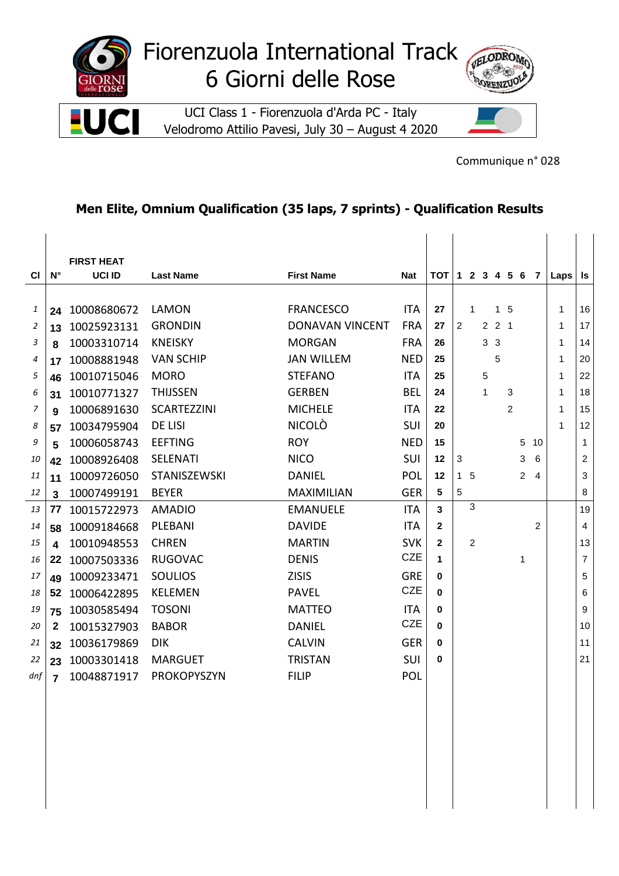

Velodromo Attilio Pavesi, July 30 – August 4 2020



Communique n° 028

## **Men Elite, Omnium Qualification (35 laps, 7 sprints) - Qualification Results**

|           |                         | <b>FIRST HEAT</b> |                     |                        |            |                     |                |              |                |                |                |                |                |              |                |
|-----------|-------------------------|-------------------|---------------------|------------------------|------------|---------------------|----------------|--------------|----------------|----------------|----------------|----------------|----------------|--------------|----------------|
| <b>CI</b> | $N^{\circ}$             | <b>UCI ID</b>     | <b>Last Name</b>    | <b>First Name</b>      | <b>Nat</b> | $TOT$ 1 2 3 4 5 6 7 |                |              |                |                |                |                |                | Laps         | Is             |
|           |                         |                   |                     |                        |            |                     |                |              |                |                |                |                |                |              |                |
| 1         |                         | 24 10008680672    | LAMON               | <b>FRANCESCO</b>       | <b>ITA</b> | 27                  |                | $\mathbf{1}$ |                | 1 <sub>5</sub> |                |                |                | $\mathbf{1}$ | 16             |
| 2         | 13                      | 10025923131       | <b>GRONDIN</b>      | <b>DONAVAN VINCENT</b> | <b>FRA</b> | 27                  | $\overline{2}$ |              |                | $2 \t2 \t1$    |                |                |                | $\mathbf{1}$ | 17             |
| 3         | 8                       | 10003310714       | <b>KNEISKY</b>      | <b>MORGAN</b>          | <b>FRA</b> | 26                  |                |              | 3 <sub>3</sub> |                |                |                |                | $\mathbf{1}$ | 14             |
| 4         | 17                      | 10008881948       | <b>VAN SCHIP</b>    | <b>JAN WILLEM</b>      | <b>NED</b> | 25                  |                |              |                | 5              |                |                |                | 1            | 20             |
| 5         | 46                      | 10010715046       | <b>MORO</b>         | <b>STEFANO</b>         | <b>ITA</b> | 25                  |                |              | 5              |                |                |                |                | 1            | 22             |
| 6         | 31                      | 10010771327       | <b>THIJSSEN</b>     | <b>GERBEN</b>          | <b>BEL</b> | 24                  |                |              | $\mathbf{1}$   |                | 3              |                |                | 1            | 18             |
| 7         | 9                       | 10006891630       | <b>SCARTEZZINI</b>  | <b>MICHELE</b>         | <b>ITA</b> | 22                  |                |              |                |                | $\mathfrak{p}$ |                |                | 1            | 15             |
| 8         | 57                      | 10034795904       | <b>DE LISI</b>      | <b>NICOLÒ</b>          | <b>SUI</b> | 20                  |                |              |                |                |                |                |                | $\mathbf{1}$ | 12             |
| 9         | 5                       | 10006058743       | <b>EEFTING</b>      | <b>ROY</b>             | <b>NED</b> | 15                  |                |              |                |                |                | 5 10           |                |              | $\mathbf{1}$   |
| 10        | 42                      | 10008926408       | <b>SELENATI</b>     | <b>NICO</b>            | SUI        | $12 \,$             | $\mathbf{3}$   |              |                |                |                | 3              | 6              |              | $\overline{c}$ |
| 11        | 11                      | 10009726050       | <b>STANISZEWSKI</b> | <b>DANIEL</b>          | POL        | $12 \,$             | 1 <sub>5</sub> |              |                |                |                | $\overline{2}$ | $\overline{4}$ |              | 3              |
| 12        | $\overline{\mathbf{3}}$ | 10007499191       | <b>BEYER</b>        | <b>MAXIMILIAN</b>      | <b>GER</b> | 5                   | $\overline{5}$ |              |                |                |                |                |                |              | 8              |
| 13        | 77                      | 10015722973       | AMADIO              | <b>EMANUELE</b>        | <b>ITA</b> | $\mathbf{3}$        |                | 3            |                |                |                |                |                |              | 19             |
| 14        | 58                      | 10009184668       | PLEBANI             | <b>DAVIDE</b>          | <b>ITA</b> | $\mathbf{2}$        |                |              |                |                |                |                | $\overline{2}$ |              | $\overline{4}$ |
| 15        | 4                       | 10010948553       | <b>CHREN</b>        | <b>MARTIN</b>          | <b>SVK</b> | $\overline{2}$      |                | 2            |                |                |                |                |                |              | 13             |
| 16        | 22                      | 10007503336       | <b>RUGOVAC</b>      | <b>DENIS</b>           | <b>CZE</b> | 1                   |                |              |                |                |                | 1              |                |              | $\overline{7}$ |
| 17        | 49                      | 10009233471       | <b>SOULIOS</b>      | <b>ZISIS</b>           | <b>GRE</b> | $\bf{0}$            |                |              |                |                |                |                |                |              | 5              |
| 18        | 52                      | 10006422895       | <b>KELEMEN</b>      | <b>PAVEL</b>           | <b>CZE</b> | $\bf{0}$            |                |              |                |                |                |                |                |              | 6              |
| 19        | 75                      | 10030585494       | <b>TOSONI</b>       | <b>MATTEO</b>          | <b>ITA</b> | 0                   |                |              |                |                |                |                |                |              | 9              |
| 20        | 2                       | 10015327903       | <b>BABOR</b>        | <b>DANIEL</b>          | <b>CZE</b> | $\bf{0}$            |                |              |                |                |                |                |                |              | 10             |
| 21        | 32 <sub>2</sub>         | 10036179869       | DIK.                | <b>CALVIN</b>          | <b>GER</b> | 0                   |                |              |                |                |                |                |                |              | 11             |
| 22        |                         | 23 10003301418    | <b>MARGUET</b>      | <b>TRISTAN</b>         | SUI        | $\bf{0}$            |                |              |                |                |                |                |                |              | 21             |
| dnf       | $\overline{7}$          | 10048871917       | <b>PROKOPYSZYN</b>  | <b>FILIP</b>           | <b>POL</b> |                     |                |              |                |                |                |                |                |              |                |
|           |                         |                   |                     |                        |            |                     |                |              |                |                |                |                |                |              |                |
|           |                         |                   |                     |                        |            |                     |                |              |                |                |                |                |                |              |                |
|           |                         |                   |                     |                        |            |                     |                |              |                |                |                |                |                |              |                |
|           |                         |                   |                     |                        |            |                     |                |              |                |                |                |                |                |              |                |